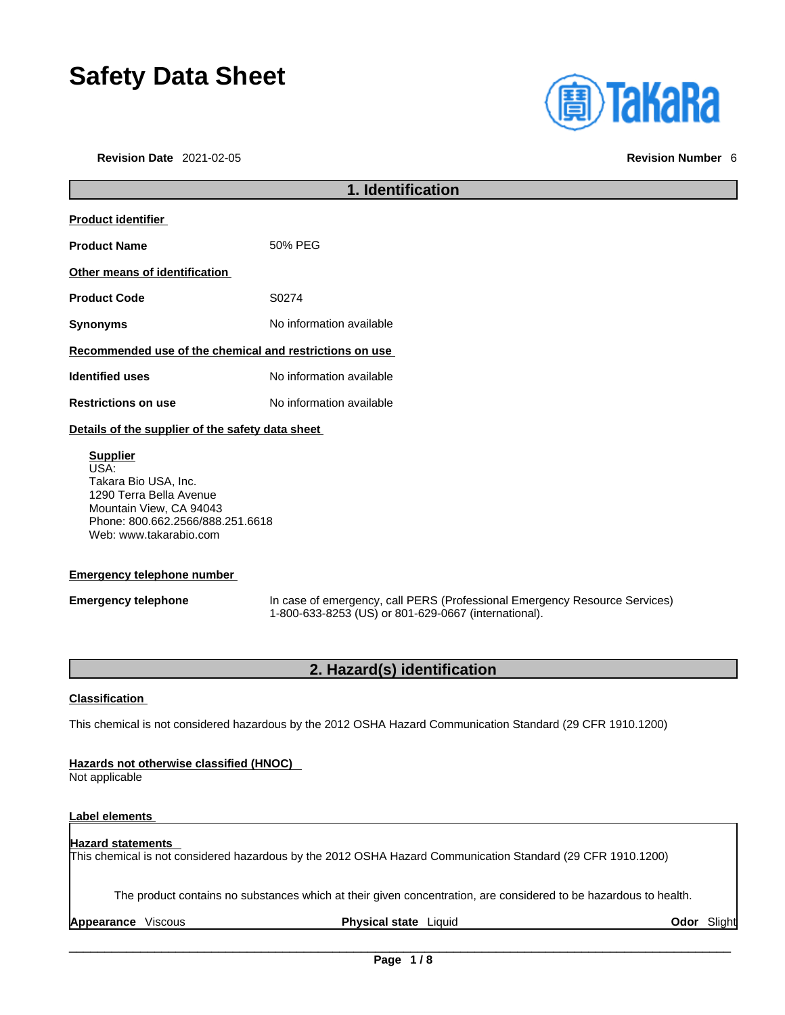# **Safety Data Sheet**

**Revision Date** 2021-02-05 **Revision Number** 6

| <b>(A)TaKaRa</b> |  |  |
|------------------|--|--|
|                  |  |  |

| 1. Identification                                                                                                                                                   |                                                                                                                                    |  |
|---------------------------------------------------------------------------------------------------------------------------------------------------------------------|------------------------------------------------------------------------------------------------------------------------------------|--|
| Product identifier                                                                                                                                                  |                                                                                                                                    |  |
| <b>Product Name</b>                                                                                                                                                 | 50% PEG                                                                                                                            |  |
| Other means of identification                                                                                                                                       |                                                                                                                                    |  |
| <b>Product Code</b>                                                                                                                                                 | S0274                                                                                                                              |  |
| <b>Synonyms</b>                                                                                                                                                     | No information available                                                                                                           |  |
| Recommended use of the chemical and restrictions on use                                                                                                             |                                                                                                                                    |  |
| <b>Identified uses</b>                                                                                                                                              | No information available                                                                                                           |  |
| <b>Restrictions on use</b>                                                                                                                                          | No information available                                                                                                           |  |
| Details of the supplier of the safety data sheet                                                                                                                    |                                                                                                                                    |  |
| <b>Supplier</b><br>USA:<br>Takara Bio USA, Inc.<br>1290 Terra Bella Avenue<br>Mountain View, CA 94043<br>Phone: 800.662.2566/888.251.6618<br>Web: www.takarabio.com |                                                                                                                                    |  |
| <b>Emergency telephone number</b>                                                                                                                                   |                                                                                                                                    |  |
| <b>Emergency telephone</b>                                                                                                                                          | In case of emergency, call PERS (Professional Emergency Resource Services)<br>1-800-633-8253 (US) or 801-629-0667 (international). |  |
| 2. Hazard(s) identification                                                                                                                                         |                                                                                                                                    |  |
| Classification                                                                                                                                                      |                                                                                                                                    |  |

This chemical is not considered hazardous by the 2012 OSHA Hazard Communication Standard (29 CFR 1910.1200)

# **Hazards not otherwise classified (HNOC)**

Not applicable

# **Label elements**

#### **Hazard statements**  This chemical is not considered hazardous by the 2012 OSHA Hazard Communication Standard (29 CFR 1910.1200)

The product contains no substances which at their given concentration, are considered to be hazardous to health.

**Appearance** Viscous **Physical state** Liquid **Odor** Slight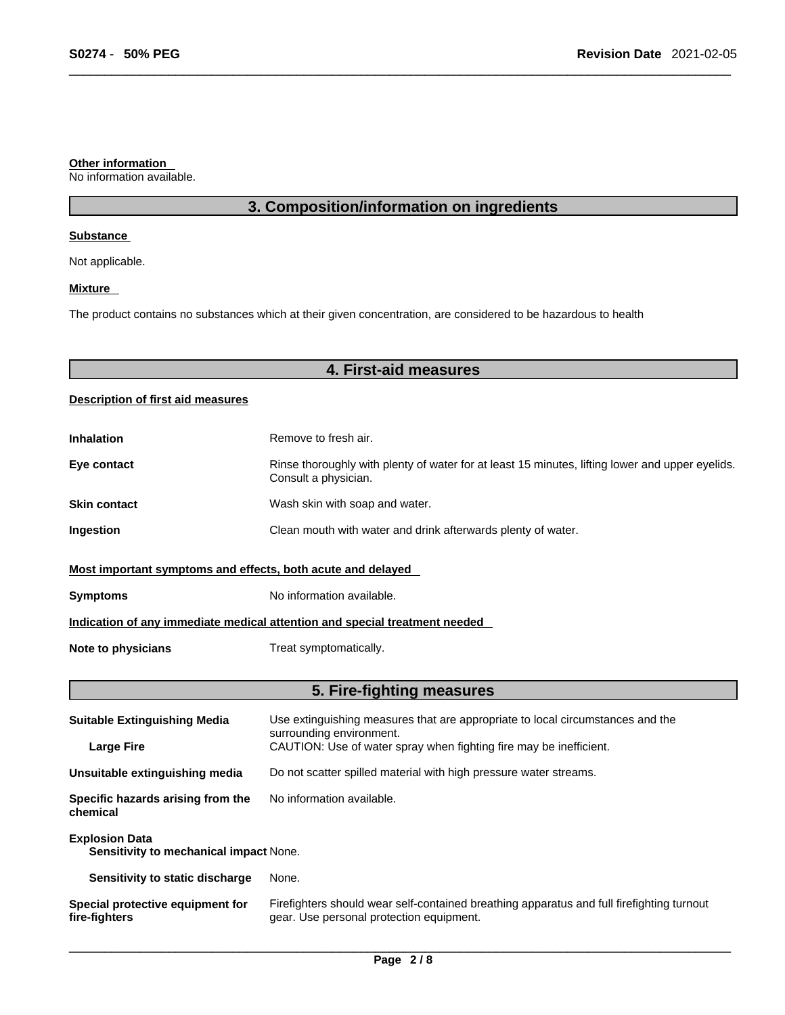### **Other information**

No information available.

# **3. Composition/information on ingredients**

## **Substance**

Not applicable.

# **Mixture**

The product contains no substances which at their given concentration, are considered to be hazardous to health

# **4. First-aid measures**

# **Description of first aid measures**

| <b>Inhalation</b>                                                          | Remove to fresh air.                                                                                                    |  |
|----------------------------------------------------------------------------|-------------------------------------------------------------------------------------------------------------------------|--|
| Eye contact                                                                | Rinse thoroughly with plenty of water for at least 15 minutes, lifting lower and upper eyelids.<br>Consult a physician. |  |
| <b>Skin contact</b>                                                        | Wash skin with soap and water.                                                                                          |  |
| Ingestion                                                                  | Clean mouth with water and drink afterwards plenty of water.                                                            |  |
| Most important symptoms and effects, both acute and delayed                |                                                                                                                         |  |
| <b>Symptoms</b>                                                            | No information available.                                                                                               |  |
| Indication of any immediate medical attention and special treatment needed |                                                                                                                         |  |
| Note to physicians                                                         | Treat symptomatically.                                                                                                  |  |

# **5. Fire-fighting measures**

| <b>Suitable Extinguishing Media</b>                             | Use extinguishing measures that are appropriate to local circumstances and the<br>surrounding environment.                            |  |
|-----------------------------------------------------------------|---------------------------------------------------------------------------------------------------------------------------------------|--|
| <b>Large Fire</b>                                               | CAUTION: Use of water spray when fighting fire may be inefficient.                                                                    |  |
| Unsuitable extinguishing media                                  | Do not scatter spilled material with high pressure water streams.                                                                     |  |
| Specific hazards arising from the<br>chemical                   | No information available.                                                                                                             |  |
| <b>Explosion Data</b><br>Sensitivity to mechanical impact None. |                                                                                                                                       |  |
| Sensitivity to static discharge                                 | None.                                                                                                                                 |  |
| Special protective equipment for<br>fire-fighters               | Firefighters should wear self-contained breathing apparatus and full firefighting turnout<br>gear. Use personal protection equipment. |  |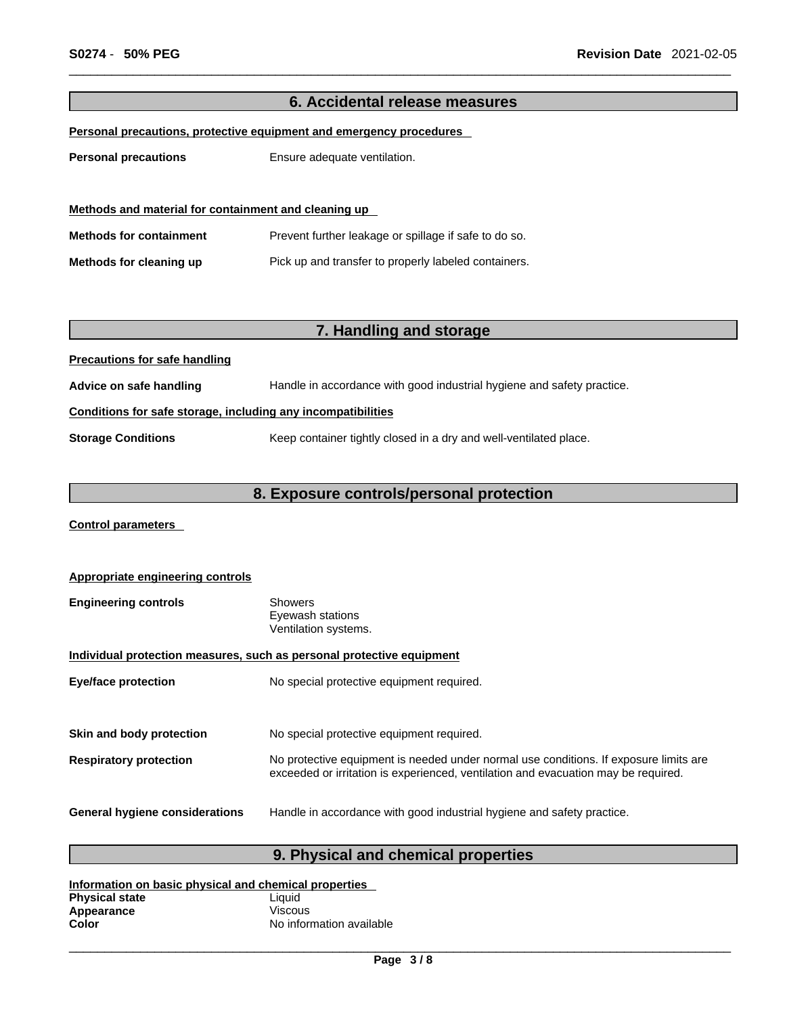# **6. Accidental release measures Personal precautions, protective equipment and emergency procedures Personal precautions** Ensure adequate ventilation. **Methods and material for containment and cleaning up Methods for containment** Prevent further leakage or spillage if safe to do so. **Methods for cleaning up** Pick up and transfer to properly labeled containers. **7. Handling and storage Precautions for safe handling Advice on safe handling** Handle in accordance with good industrial hygiene and safety practice. **Conditions for safe storage, including any incompatibilities Storage Conditions** Keep container tightly closed in a dry and well-ventilated place.

# **8. Exposure controls/personal protection**

**Control parameters** 

| Appropriate engineering controls                                      |                                                                                                                                                                             |  |
|-----------------------------------------------------------------------|-----------------------------------------------------------------------------------------------------------------------------------------------------------------------------|--|
| <b>Engineering controls</b>                                           | Showers<br>Eyewash stations<br>Ventilation systems.                                                                                                                         |  |
| Individual protection measures, such as personal protective equipment |                                                                                                                                                                             |  |
| <b>Eye/face protection</b>                                            | No special protective equipment required.                                                                                                                                   |  |
|                                                                       |                                                                                                                                                                             |  |
| Skin and body protection                                              | No special protective equipment required.                                                                                                                                   |  |
| <b>Respiratory protection</b>                                         | No protective equipment is needed under normal use conditions. If exposure limits are<br>exceeded or irritation is experienced, ventilation and evacuation may be required. |  |
| <b>General hygiene considerations</b>                                 | Handle in accordance with good industrial hygiene and safety practice.                                                                                                      |  |

# **9. Physical and chemical properties**

| Information on basic physical and chemical properties |                          |  |
|-------------------------------------------------------|--------------------------|--|
| <b>Physical state</b>                                 | Liauid                   |  |
| Appearance                                            | <b>Viscous</b>           |  |
| Color                                                 | No information available |  |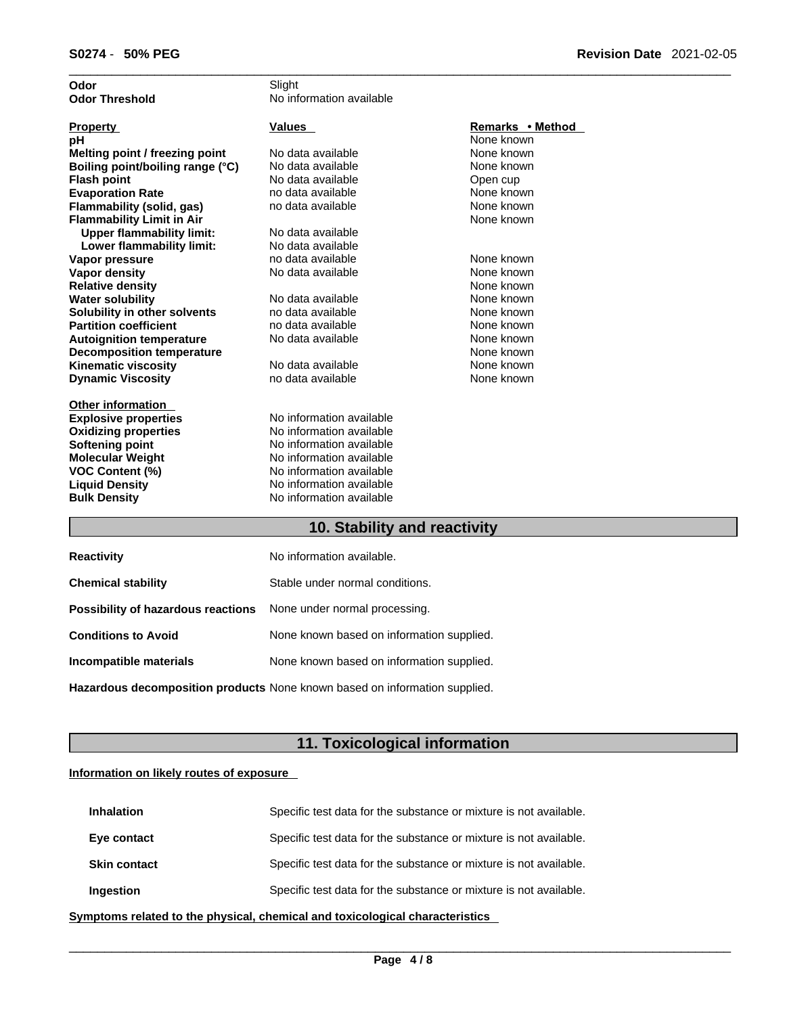| Odor                             | Slight                                                                                                                                                                                                                                                                                                                                                                               |                             |
|----------------------------------|--------------------------------------------------------------------------------------------------------------------------------------------------------------------------------------------------------------------------------------------------------------------------------------------------------------------------------------------------------------------------------------|-----------------------------|
| <b>Odor Threshold</b>            | No information available                                                                                                                                                                                                                                                                                                                                                             |                             |
|                                  |                                                                                                                                                                                                                                                                                                                                                                                      |                             |
| <b>Property</b>                  | <b>Values</b>                                                                                                                                                                                                                                                                                                                                                                        | Remarks • Method            |
| рH                               |                                                                                                                                                                                                                                                                                                                                                                                      | None known                  |
| Melting point / freezing point   | No data available                                                                                                                                                                                                                                                                                                                                                                    | None known                  |
| Boiling point/boiling range (°C) | No data available                                                                                                                                                                                                                                                                                                                                                                    | None known                  |
| <b>Flash point</b>               | No data available                                                                                                                                                                                                                                                                                                                                                                    | Open cup                    |
| <b>Evaporation Rate</b>          | no data available                                                                                                                                                                                                                                                                                                                                                                    | None known                  |
| Flammability (solid, gas)        | no data available                                                                                                                                                                                                                                                                                                                                                                    | None known                  |
| <b>Flammability Limit in Air</b> |                                                                                                                                                                                                                                                                                                                                                                                      | None known                  |
| <b>Upper flammability limit:</b> | No data available                                                                                                                                                                                                                                                                                                                                                                    |                             |
| Lower flammability limit:        | No data available                                                                                                                                                                                                                                                                                                                                                                    |                             |
| Vapor pressure                   | no data available                                                                                                                                                                                                                                                                                                                                                                    | None known                  |
| Vapor density                    | No data available                                                                                                                                                                                                                                                                                                                                                                    | None known                  |
| <b>Relative density</b>          |                                                                                                                                                                                                                                                                                                                                                                                      | None known                  |
| <b>Water solubility</b>          | No data available                                                                                                                                                                                                                                                                                                                                                                    | None known                  |
| Solubility in other solvents     | no data available                                                                                                                                                                                                                                                                                                                                                                    | None known                  |
| <b>Partition coefficient</b>     | no data available                                                                                                                                                                                                                                                                                                                                                                    | None known                  |
| <b>Autoignition temperature</b>  | No data available                                                                                                                                                                                                                                                                                                                                                                    | None known                  |
| <b>Decomposition temperature</b> |                                                                                                                                                                                                                                                                                                                                                                                      | None known                  |
| <b>Kinematic viscosity</b>       | No data available                                                                                                                                                                                                                                                                                                                                                                    | None known                  |
| <b>Dynamic Viscosity</b>         | no data available                                                                                                                                                                                                                                                                                                                                                                    | None known                  |
|                                  |                                                                                                                                                                                                                                                                                                                                                                                      |                             |
| <b>Other information</b>         | No information available                                                                                                                                                                                                                                                                                                                                                             |                             |
| <b>Explosive properties</b>      | No information available                                                                                                                                                                                                                                                                                                                                                             |                             |
| <b>Oxidizing properties</b>      | No information available                                                                                                                                                                                                                                                                                                                                                             |                             |
| Softening point                  | No information available                                                                                                                                                                                                                                                                                                                                                             |                             |
| <b>Molecular Weight</b>          |                                                                                                                                                                                                                                                                                                                                                                                      |                             |
| <b>VOC Content (%)</b>           | No information available<br>No information available                                                                                                                                                                                                                                                                                                                                 |                             |
| <b>Liquid Density</b>            |                                                                                                                                                                                                                                                                                                                                                                                      |                             |
| <b>Bulk Density</b>              | No information available                                                                                                                                                                                                                                                                                                                                                             |                             |
|                                  | $\overline{1}$ $\overline{2}$ $\overline{3}$ $\overline{1}$ $\overline{1}$ $\overline{1}$ $\overline{1}$ $\overline{1}$ $\overline{1}$ $\overline{1}$ $\overline{1}$ $\overline{1}$ $\overline{1}$ $\overline{1}$ $\overline{1}$ $\overline{1}$ $\overline{1}$ $\overline{1}$ $\overline{1}$ $\overline{1}$ $\overline{1}$ $\overline{1}$ $\overline{1}$ $\overline{1}$ $\overline{$ | 20 H H 20<br>$\blacksquare$ |

# **10. Stability and reactivity**

| <b>Reactivity</b>                                                       | No information available.                 |
|-------------------------------------------------------------------------|-------------------------------------------|
| <b>Chemical stability</b>                                               | Stable under normal conditions.           |
| <b>Possibility of hazardous reactions</b> None under normal processing. |                                           |
| <b>Conditions to Avoid</b>                                              | None known based on information supplied. |
| Incompatible materials                                                  | None known based on information supplied. |
|                                                                         |                                           |

**Hazardous decomposition products** None known based on information supplied.

# **11. Toxicological information**

# **Information on likely routes of exposure**

| <b>Inhalation</b>   | Specific test data for the substance or mixture is not available. |
|---------------------|-------------------------------------------------------------------|
| Eye contact         | Specific test data for the substance or mixture is not available. |
| <b>Skin contact</b> | Specific test data for the substance or mixture is not available. |
| <b>Ingestion</b>    | Specific test data for the substance or mixture is not available. |

**<u>Symptoms related to the physical, chemical and toxicological characteristics</u>**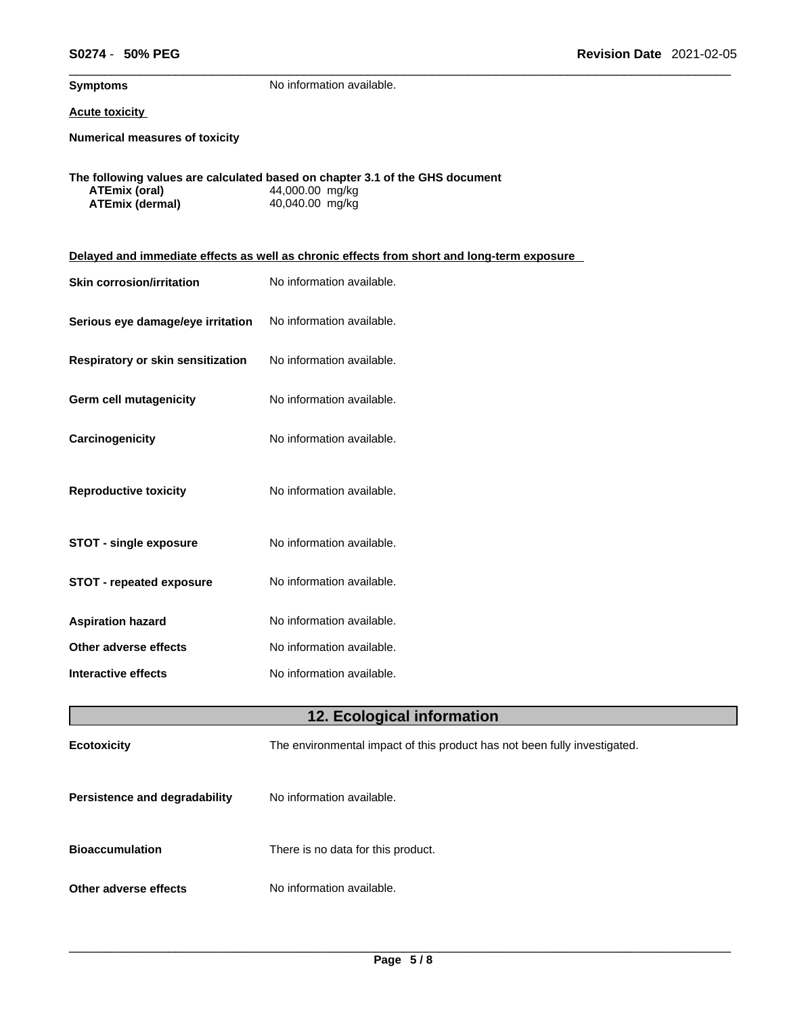**Symptoms** No information available.

# **Acute toxicity**

**Numerical measures of toxicity**

|                 | The following values are calculated based on chapter 3.1 of the GHS document |
|-----------------|------------------------------------------------------------------------------|
| ATEmix (oral)   | 44,000.00 mg/kg                                                              |
| ATEmix (dermal) | 40,040.00 mg/kg                                                              |

| Delayed and immediate effects as well as chronic effects from short and long-term exposure |                           |  |
|--------------------------------------------------------------------------------------------|---------------------------|--|
| <b>Skin corrosion/irritation</b>                                                           | No information available. |  |
| Serious eye damage/eye irritation                                                          | No information available. |  |
| Respiratory or skin sensitization                                                          | No information available. |  |
| Germ cell mutagenicity                                                                     | No information available. |  |
| Carcinogenicity                                                                            | No information available. |  |
| <b>Reproductive toxicity</b>                                                               | No information available. |  |
| <b>STOT - single exposure</b>                                                              | No information available. |  |
| <b>STOT - repeated exposure</b>                                                            | No information available. |  |
| <b>Aspiration hazard</b>                                                                   | No information available. |  |
| Other adverse effects                                                                      | No information available. |  |
| <b>Interactive effects</b>                                                                 | No information available. |  |
| 12. Ecological information                                                                 |                           |  |

| <b>Ecotoxicity</b>                   | The environmental impact of this product has not been fully investigated. |
|--------------------------------------|---------------------------------------------------------------------------|
| <b>Persistence and degradability</b> | No information available.                                                 |
| <b>Bioaccumulation</b>               | There is no data for this product.                                        |
| Other adverse effects                | No information available.                                                 |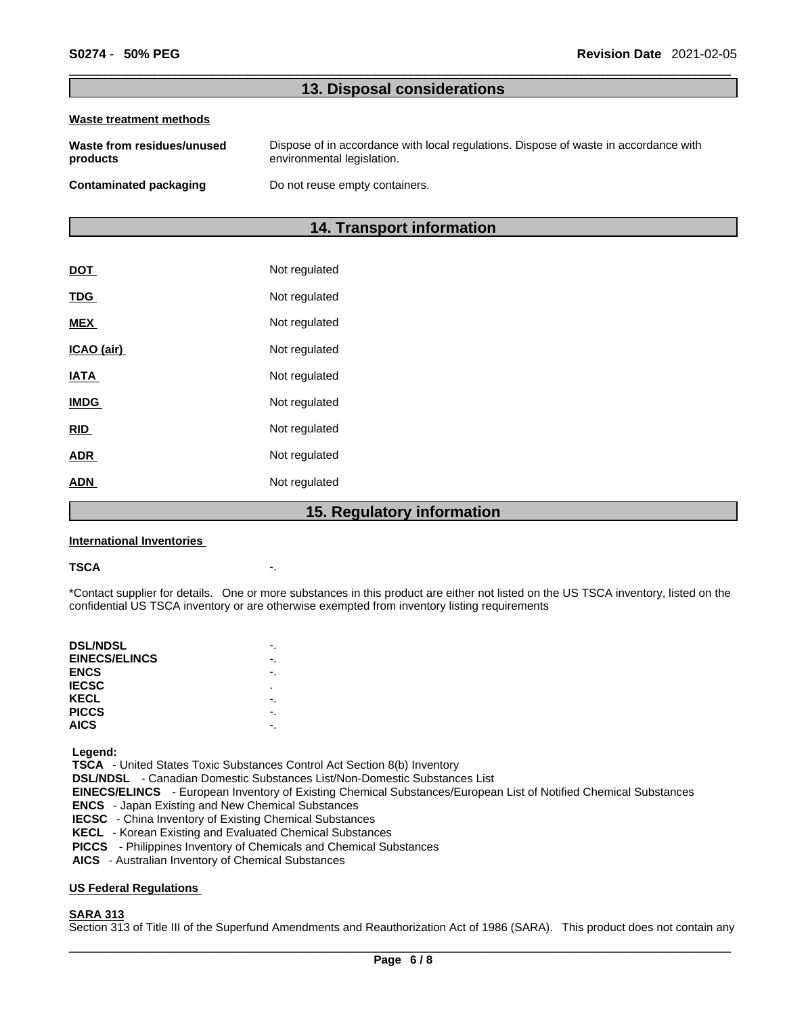# **13. Disposal considerations**

#### **Waste treatment methods**

| Waste from residues/unused | Dispose of in accordance with local regulations. Dispose of waste in accordance with |
|----------------------------|--------------------------------------------------------------------------------------|
| products                   | environmental legislation.                                                           |
| Contaminated packaging     | Do not reuse empty containers.                                                       |

# **14. Transport information**

| <u>DOT</u>  | Not regulated |
|-------------|---------------|
| <b>TDG</b>  | Not regulated |
| <b>MEX</b>  | Not regulated |
| ICAO (air)  | Not regulated |
| <b>IATA</b> | Not regulated |
| <b>IMDG</b> | Not regulated |
| <b>RID</b>  | Not regulated |
| <u>ADR</u>  | Not regulated |
| ADN         | Not regulated |
|             |               |

# **15. Regulatory information**

#### **International Inventories**

#### **TSCA** -.

\*Contact supplier for details. One or more substances in this product are either not listed on the US TSCA inventory, listed on the confidential US TSCA inventory or are otherwise exempted from inventory listing requirements

| <b>DSL/NDSL</b>      |    |
|----------------------|----|
| <b>EINECS/ELINCS</b> |    |
| <b>ENCS</b>          | ٠. |
| <b>IECSC</b>         | ٠  |
| KECL                 |    |
| <b>PICCS</b>         |    |
| <b>AICS</b>          |    |
|                      |    |

 **Legend:** 

 **TSCA** - United States Toxic Substances Control Act Section 8(b) Inventory

 **DSL/NDSL** - Canadian Domestic Substances List/Non-Domestic Substances List

- **EINECS/ELINCS**  European Inventory of Existing Chemical Substances/European List of Notified Chemical Substances
- **ENCS**  Japan Existing and New Chemical Substances
- **IECSC**  China Inventory of Existing Chemical Substances
- **KECL**  Korean Existing and Evaluated Chemical Substances
- **PICCS**  Philippines Inventory of Chemicals and Chemical Substances
- **AICS**  Australian Inventory of Chemical Substances

# **US Federal Regulations**

# **SARA 313**

Section 313 of Title III of the Superfund Amendments and Reauthorization Act of 1986 (SARA). This product does not contain any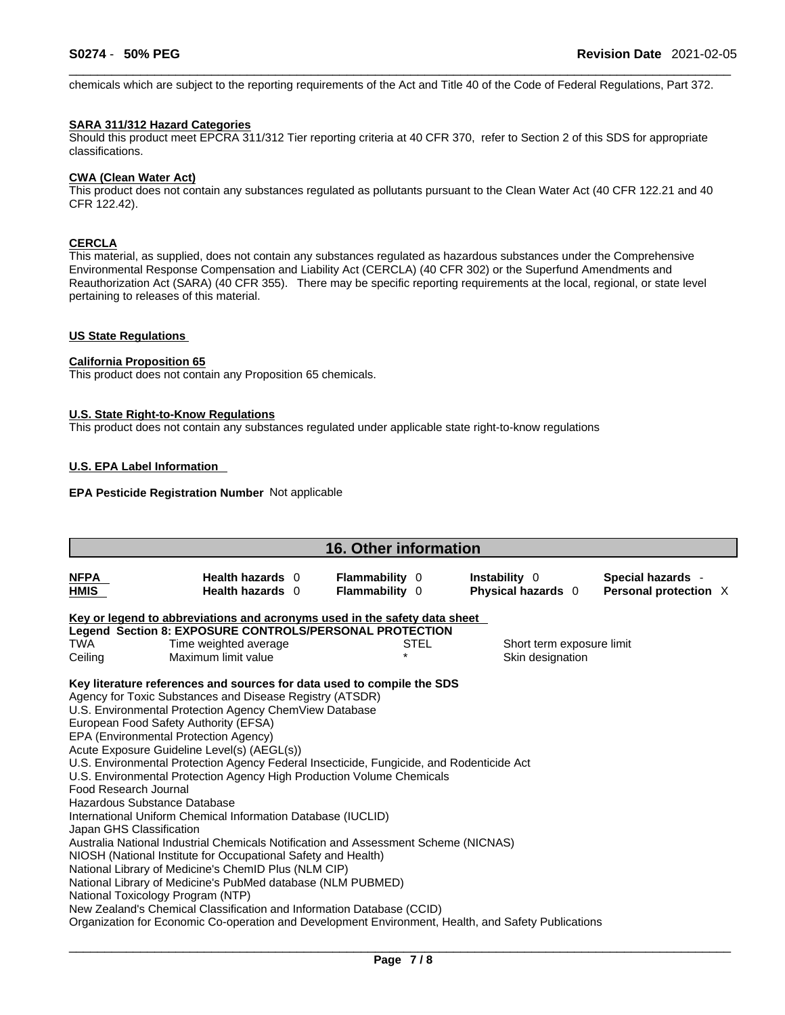chemicals which are subject to the reporting requirements of the Act and Title 40 of the Code of Federal Regulations, Part 372.

### **SARA 311/312 Hazard Categories**

Should this product meet EPCRA 311/312 Tier reporting criteria at 40 CFR 370, refer to Section 2 of this SDS for appropriate classifications.

# **CWA** (Clean Water Act)

This product does not contain any substances regulated as pollutants pursuant to the Clean Water Act (40 CFR 122.21 and 40 CFR 122.42).

# **CERCLA**

This material, as supplied, does not contain any substances regulated as hazardous substances under the Comprehensive Environmental Response Compensation and Liability Act (CERCLA) (40 CFR 302) or the Superfund Amendments and Reauthorization Act (SARA) (40 CFR 355). There may be specific reporting requirements at the local, regional, or state level pertaining to releases of this material.

### **US State Regulations**

## **California Proposition 65**

This product does not contain any Proposition 65 chemicals.

#### **U.S. State Right-to-Know Regulations**

This product does not contain any substances regulated under applicable state right-to-know regulations

### **U.S. EPA Label Information**

## **EPA Pesticide Registration Number** Not applicable

| <b>16. Other information</b>                                                      |                                                                                                                                                                                                                                                                                                                                                                                                                                                                                                                                                                                                                                                                                                                                                                                                                                                                                                                                                                                                                                                                        |                                         |                                               |                                            |  |
|-----------------------------------------------------------------------------------|------------------------------------------------------------------------------------------------------------------------------------------------------------------------------------------------------------------------------------------------------------------------------------------------------------------------------------------------------------------------------------------------------------------------------------------------------------------------------------------------------------------------------------------------------------------------------------------------------------------------------------------------------------------------------------------------------------------------------------------------------------------------------------------------------------------------------------------------------------------------------------------------------------------------------------------------------------------------------------------------------------------------------------------------------------------------|-----------------------------------------|-----------------------------------------------|--------------------------------------------|--|
| <b>NFPA</b><br>HMIS                                                               | Health hazards 0<br>Health hazards 0                                                                                                                                                                                                                                                                                                                                                                                                                                                                                                                                                                                                                                                                                                                                                                                                                                                                                                                                                                                                                                   | <b>Flammability</b> 0<br>Flammability 0 | Instability 0<br>Physical hazards 0           | Special hazards -<br>Personal protection X |  |
| TWA<br>Ceiling                                                                    | Key or legend to abbreviations and acronyms used in the safety data sheet<br>Legend Section 8: EXPOSURE CONTROLS/PERSONAL PROTECTION<br>Time weighted average<br>Maximum limit value                                                                                                                                                                                                                                                                                                                                                                                                                                                                                                                                                                                                                                                                                                                                                                                                                                                                                   | STEL                                    | Short term exposure limit<br>Skin designation |                                            |  |
| Food Research Journal<br>Hazardous Substance Database<br>Japan GHS Classification | Key literature references and sources for data used to compile the SDS<br>Agency for Toxic Substances and Disease Registry (ATSDR)<br>U.S. Environmental Protection Agency ChemView Database<br>European Food Safety Authority (EFSA)<br>EPA (Environmental Protection Agency)<br>Acute Exposure Guideline Level(s) (AEGL(s))<br>U.S. Environmental Protection Agency Federal Insecticide, Fungicide, and Rodenticide Act<br>U.S. Environmental Protection Agency High Production Volume Chemicals<br>International Uniform Chemical Information Database (IUCLID)<br>Australia National Industrial Chemicals Notification and Assessment Scheme (NICNAS)<br>NIOSH (National Institute for Occupational Safety and Health)<br>National Library of Medicine's ChemID Plus (NLM CIP)<br>National Library of Medicine's PubMed database (NLM PUBMED)<br>National Toxicology Program (NTP)<br>New Zealand's Chemical Classification and Information Database (CCID)<br>Organization for Economic Co-operation and Development Environment, Health, and Safety Publications |                                         |                                               |                                            |  |